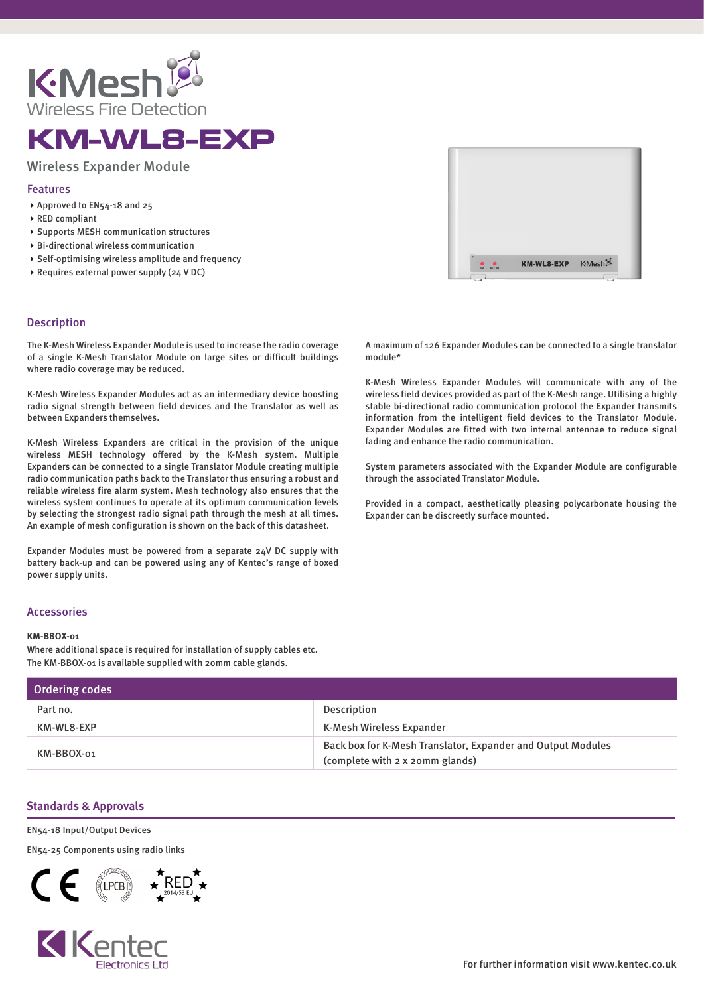

# KM-WL8-EXP

# Wireless Expander Module

### Features

- ▶ Approved to EN54-18 and 25
- ▶ RED compliant
- ▶ Supports MESH communication structures
- Bi-directional wireless communication
- $\triangleright$  Self-optimising wireless amplitude and frequency
- ▶ Requires external power supply (24 V DC)

## Description

The K-Mesh Wireless Expander Module is used to increase the radio coverage of a single K-Mesh Translator Module on large sites or difficult buildings where radio coverage may be reduced.

K-Mesh Wireless Expander Modules act as an intermediary device boosting radio signal strength between field devices and the Translator as well as between Expanders themselves.

K-Mesh Wireless Expanders are critical in the provision of the unique wireless MESH technology offered by the K-Mesh system. Multiple Expanders can be connected to a single Translator Module creating multiple radio communication paths back to the Translator thus ensuring a robust and reliable wireless fire alarm system. Mesh technology also ensures that the wireless system continues to operate at its optimum communication levels by selecting the strongest radio signal path through the mesh at all times. An example of mesh configuration is shown on the back of this datasheet.

Expander Modules must be powered from a separate 24V DC supply with battery back-up and can be powered using any of Kentec's range of boxed power supply units.

### Accessories

#### **KM-BBOX-01**

Where additional space is required for installation of supply cables etc. The KM-BBOX-01 is available supplied with 20mm cable glands.

| Ordering codes |                                                                                                |
|----------------|------------------------------------------------------------------------------------------------|
| Part no.       | Description                                                                                    |
| KM-WL8-EXP     | K-Mesh Wireless Expander                                                                       |
| KM-BBOX-01     | Back box for K-Mesh Translator, Expander and Output Modules<br>(complete with 2 x 20mm glands) |

### **Standards & Approvals**

#### EN54-18 Input/Output Devices

EN54-25 Components using radio links







A maximum of 126 Expander Modules can be connected to a single translator module\*

K-Mesh Wireless Expander Modules will communicate with any of the wireless field devices provided as part of the K-Mesh range. Utilising a highly stable bi-directional radio communication protocol the Expander transmits information from the intelligent field devices to the Translator Module. Expander Modules are fitted with two internal antennae to reduce signal fading and enhance the radio communication.

System parameters associated with the Expander Module are configurable through the associated Translator Module.

Provided in a compact, aesthetically pleasing polycarbonate housing the Expander can be discreetly surface mounted.